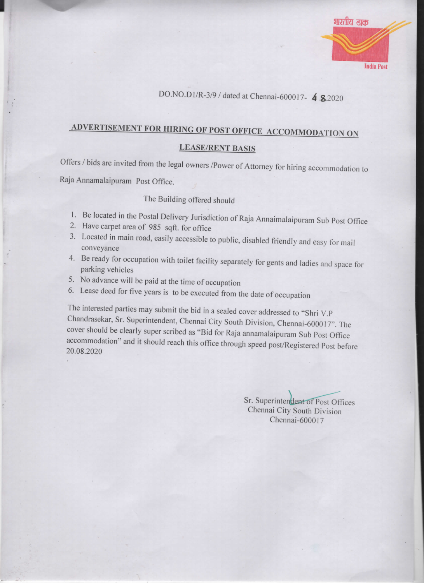

## DO.NO.D1/R-3/9 / dated at Chennai-600017- 4 .82020

## ADVERTISEMENT FOR HIRING OF POST OFFICE ACCOMMODATION ON

## **LEASE/RENT BASIS**

Offers / bids are invited from the legal owners /Power of Attorney for hiring accommodation to

Raja Annamalaipuram Post Office.

## The Building offered should

- 1. Be located in the Postal Delivery Jurisdiction of Raja Annaimalaipuram Sub Post Office
- 2. Have carpet area of 985 sqft. for office
- 3. Located in main road, easily accessible to public, disabled friendly and easy for mail conveyance
- 4. Be ready for occupation with toilet facility separately for gents and ladies and space for parking vehicles
- 5. No advance will be paid at the time of occupation
- 6. Lease deed for five years is to be executed from the date of occupation

The interested parties may submit the bid in a sealed cover addressed to "Shri V.P Chandrasekar, Sr. Superintendent, Chennai City South Division, Chennai-600017". The cover should be clearly super scribed as "Bid for Raja annamalaipuram Sub Post Office accommodation" and it should reach this office through speed post/Registered Post before 20.08.2020

> Sr. Superintendent of Post Offices Chennai City South Division Chennai-600017